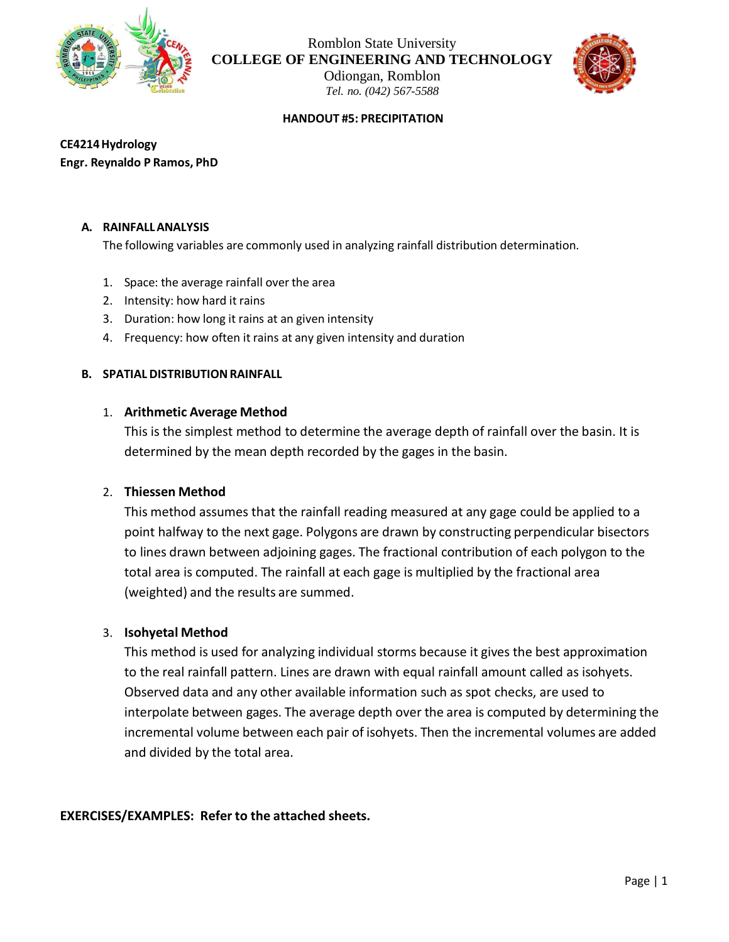

Romblon State University **COLLEGE OF ENGINEERING AND TECHNOLOGY**

> Odiongan, Romblon *Tel. no. (042) 567-5588*



#### **HANDOUT #5: PRECIPITATION**

**CE4214Hydrology Engr. Reynaldo P Ramos, PhD**

#### **A. RAINFALLANALYSIS**

The following variables are commonly used in analyzing rainfall distribution determination.

- 1. Space: the average rainfall over the area
- 2. Intensity: how hard it rains
- 3. Duration: how long it rains at an given intensity
- 4. Frequency: how often it rains at any given intensity and duration

### **B. SPATIAL DISTRIBUTIONRAINFALL**

### 1. **Arithmetic Average Method**

This is the simplest method to determine the average depth of rainfall over the basin. It is determined by the mean depth recorded by the gages in the basin.

#### 2. **Thiessen Method**

This method assumes that the rainfall reading measured at any gage could be applied to a point halfway to the next gage. Polygons are drawn by constructing perpendicular bisectors to lines drawn between adjoining gages. The fractional contribution of each polygon to the total area is computed. The rainfall at each gage is multiplied by the fractional area (weighted) and the results are summed.

## 3. **Isohyetal Method**

This method is used for analyzing individual storms because it gives the best approximation to the real rainfall pattern. Lines are drawn with equal rainfall amount called as isohyets. Observed data and any other available information such as spot checks, are used to interpolate between gages. The average depth over the area is computed by determining the incremental volume between each pair of isohyets. Then the incremental volumes are added and divided by the total area.

#### **EXERCISES/EXAMPLES: Refer to the attached sheets.**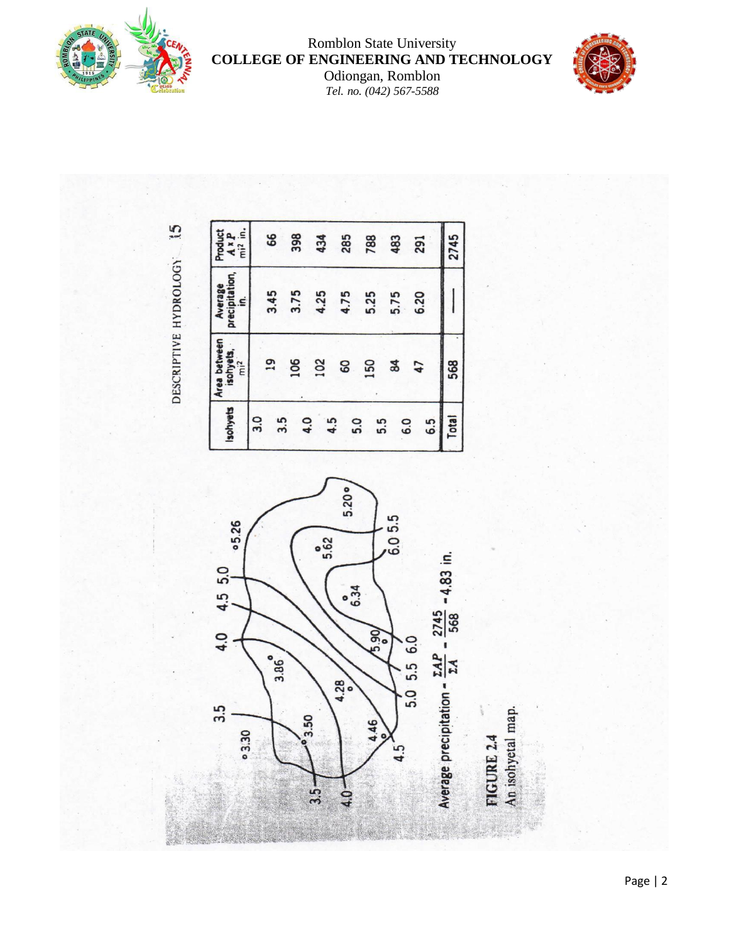

# Romblon State University **COLLEGE OF ENGINEERING AND TECHNOLOGY**

Odiongan, Romblon *Tel. no. (042) 567-5588*



 $\mathbf{5}$ DESCRIPTIVE HYDROLOGY